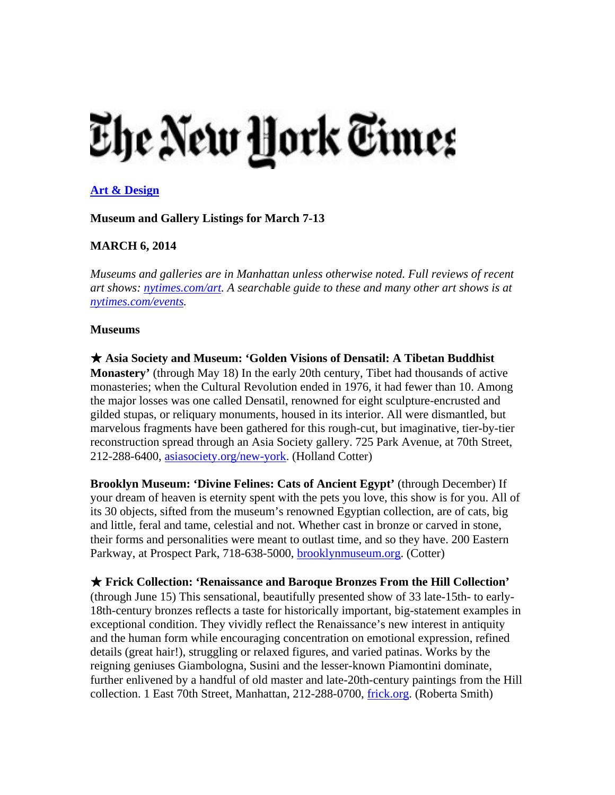# Ehe New York Times

# **[Art & Design](http://www.nytimes.com/pages/arts/design/index.html)**

# **Museum and Gallery Listings for March 7-13**

# **MARCH 6, 2014**

*Museums and galleries are in Manhattan unless otherwise noted. Full reviews of recent art shows: [nytimes.com/art](http://nytimes.com/art). A searchable guide to these and many other art shows is at [nytimes.com/events.](http://nytimes.com/events)* 

#### **Museums**

★ **Asia Society and Museum: 'Golden Visions of Densatil: A Tibetan Buddhist Monastery'** (through May 18) In the early 20th century, Tibet had thousands of active monasteries; when the Cultural Revolution ended in 1976, it had fewer than 10. Among the major losses was one called Densatil, renowned for eight sculpture-encrusted and gilded stupas, or reliquary monuments, housed in its interior. All were dismantled, but marvelous fragments have been gathered for this rough-cut, but imaginative, tier-by-tier reconstruction spread through an Asia Society gallery. 725 Park Avenue, at 70th Street, 212-288-6400, [asiasociety.org/new-york](http://asiasociety.org/new-york). (Holland Cotter)

**Brooklyn Museum: 'Divine Felines: Cats of Ancient Egypt'** (through December) If your dream of heaven is eternity spent with the pets you love, this show is for you. All of its 30 objects, sifted from the museum's renowned Egyptian collection, are of cats, big and little, feral and tame, celestial and not. Whether cast in bronze or carved in stone, their forms and personalities were meant to outlast time, and so they have. 200 Eastern Parkway, at Prospect Park, 718-638-5000, [brooklynmuseum.org.](http://brooklynmuseum.org/) (Cotter)

★ **Frick Collection: 'Renaissance and Baroque Bronzes From the Hill Collection'**  (through June 15) This sensational, beautifully presented show of 33 late-15th- to early-18th-century bronzes reflects a taste for historically important, big-statement examples in exceptional condition. They vividly reflect the Renaissance's new interest in antiquity and the human form while encouraging concentration on emotional expression, refined details (great hair!), struggling or relaxed figures, and varied patinas. Works by the reigning geniuses Giambologna, Susini and the lesser-known Piamontini dominate, further enlivened by a handful of old master and late-20th-century paintings from the Hill collection. 1 East 70th Street, Manhattan, 212-288-0700, [frick.org](http://frick.org/). (Roberta Smith)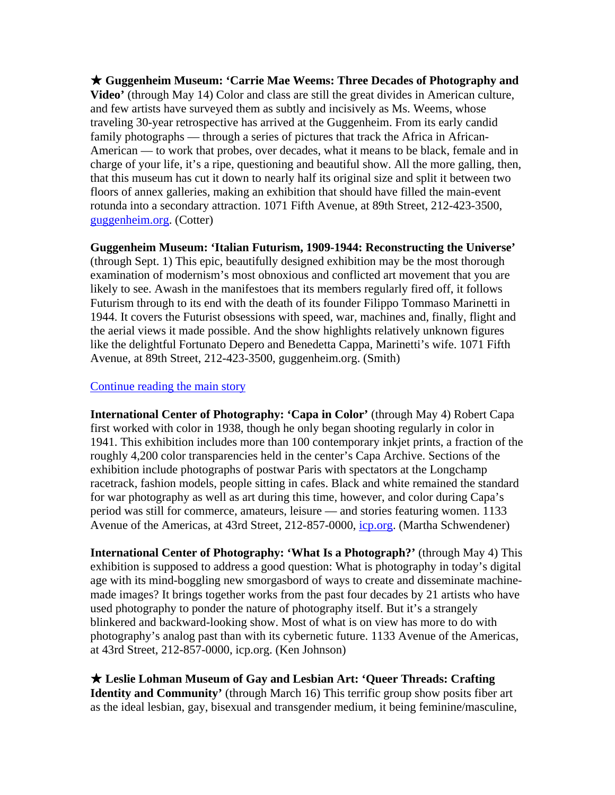★ **Guggenheim Museum: 'Carrie Mae Weems: Three Decades of Photography and Video'** (through May 14) Color and class are still the great divides in American culture, and few artists have surveyed them as subtly and incisively as Ms. Weems, whose traveling 30-year retrospective has arrived at the Guggenheim. From its early candid family photographs — through a series of pictures that track the Africa in African-American — to work that probes, over decades, what it means to be black, female and in charge of your life, it's a ripe, questioning and beautiful show. All the more galling, then, that this museum has cut it down to nearly half its original size and split it between two floors of annex galleries, making an exhibition that should have filled the main-event rotunda into a secondary attraction. 1071 Fifth Avenue, at 89th Street, 212-423-3500, [guggenheim.org](http://guggenheim.org/). (Cotter)

#### **Guggenheim Museum: 'Italian Futurism, 1909-1944: Reconstructing the Universe'**

(through Sept. 1) This epic, beautifully designed exhibition may be the most thorough examination of modernism's most obnoxious and conflicted art movement that you are likely to see. Awash in the manifestoes that its members regularly fired off, it follows Futurism through to its end with the death of its founder Filippo Tommaso Marinetti in 1944. It covers the Futurist obsessions with speed, war, machines and, finally, flight and the aerial views it made possible. And the show highlights relatively unknown figures like the delightful Fortunato Depero and Benedetta Cappa, Marinetti's wife. 1071 Fifth Avenue, at 89th Street, 212-423-3500, [guggenheim.org.](https://guggenheim.org) (Smith)

#### Continue reading the main story

**International Center of Photography: 'Capa in Color'** (through May 4) Robert Capa first worked with color in 1938, though he only began shooting regularly in color in 1941. This exhibition includes more than 100 contemporary inkjet prints, a fraction of the roughly 4,200 color transparencies held in the center's Capa Archive. Sections of the exhibition include photographs of postwar Paris with spectators at the Longchamp racetrack, fashion models, people sitting in cafes. Black and white remained the standard for war photography as well as art during this time, however, and color during Capa's period was still for commerce, amateurs, leisure — and stories featuring women. 1133 Avenue of the Americas, at 43rd Street, 212-857-0000, [icp.org](http://icp.org/). (Martha Schwendener)

**International Center of Photography: 'What Is a Photograph?'** (through May 4) This exhibition is supposed to address a good question: What is photography in today's digital age with its mind-boggling new smorgasbord of ways to create and disseminate machinemade images? It brings together works from the past four decades by 21 artists who have used photography to ponder the nature of photography itself. But it's a strangely blinkered and backward-looking show. Most of what is on view has more to do with photography's analog past than with its cybernetic future. 1133 Avenue of the Americas, at 43rd Street, 212-857-0000, icp.org. (Ken Johnson)

#### ★ **Leslie Lohman Museum of Gay and Lesbian Art: 'Queer Threads: Crafting Identity and Community'** (through March 16) This terrific group show posits fiber art as the ideal lesbian, gay, bisexual and transgender medium, it being feminine/masculine,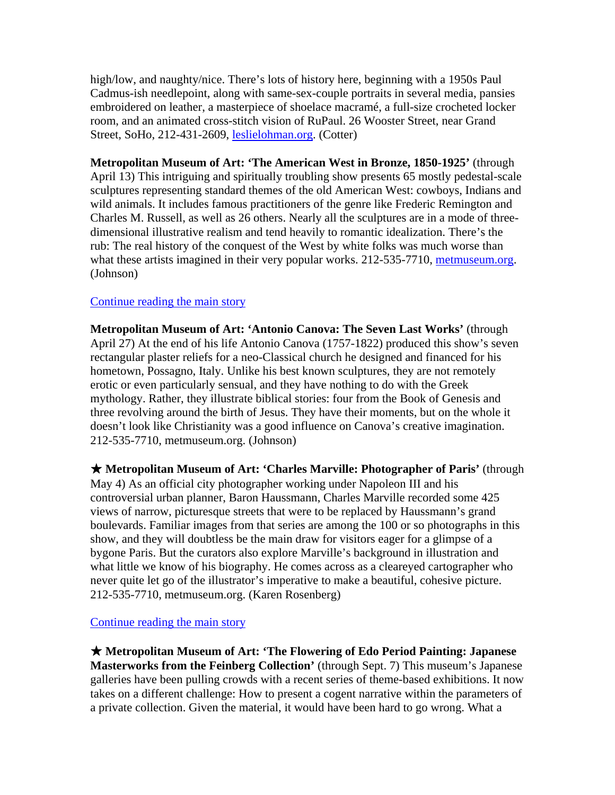high/low, and naughty/nice. There's lots of history here, beginning with a 1950s Paul Cadmus-ish needlepoint, along with same-sex-couple portraits in several media, pansies embroidered on leather, a masterpiece of shoelace macramé, a full-size crocheted locker room, and an animated cross-stitch vision of RuPaul. 26 Wooster Street, near Grand Street, SoHo, 212-431-2609, [leslielohman.org.](http://leslielohman.org/) (Cotter)

**Metropolitan Museum of Art: 'The American West in Bronze, 1850-1925'** (through April 13) This intriguing and spiritually troubling show presents 65 mostly pedestal-scale sculptures representing standard themes of the old American West: cowboys, Indians and wild animals. It includes famous practitioners of the genre like Frederic Remington and Charles M. Russell, as well as 26 others. Nearly all the sculptures are in a mode of threedimensional illustrative realism and tend heavily to romantic idealization. There's the rub: The real history of the conquest of the West by white folks was much worse than what these artists imagined in their very popular works. 212-535-7710, [metmuseum.org.](http://metmuseum.org/) (Johnson)

#### Continue reading the main story

**Metropolitan Museum of Art: 'Antonio Canova: The Seven Last Works'** (through April 27) At the end of his life Antonio Canova (1757-1822) produced this show's seven rectangular plaster reliefs for a neo-Classical church he designed and financed for his hometown, Possagno, Italy. Unlike his best known sculptures, they are not remotely erotic or even particularly sensual, and they have nothing to do with the Greek mythology. Rather, they illustrate biblical stories: four from the Book of Genesis and three revolving around the birth of Jesus. They have their moments, but on the whole it doesn't look like Christianity was a good influence on Canova's creative imagination. 212-535-7710, [metmuseum.org.](https://metmuseum.org) (Johnson)

★ **Metropolitan Museum of Art: 'Charles Marville: Photographer of Paris'** (through May 4) As an official city photographer working under Napoleon III and his controversial urban planner, Baron Haussmann, Charles Marville recorded some 425 views of narrow, picturesque streets that were to be replaced by Haussmann's grand boulevards. Familiar images from that series are among the 100 or so photographs in this show, and they will doubtless be the main draw for visitors eager for a glimpse of a bygone Paris. But the curators also explore Marville's background in illustration and what little we know of his biography. He comes across as a cleareyed cartographer who never quite let go of the illustrator's imperative to make a beautiful, cohesive picture. 212-535-7710, [metmuseum.org.](https://metmuseum.org) (Karen Rosenberg)

Continue reading the main story

★ **Metropolitan Museum of Art: 'The Flowering of Edo Period Painting: Japanese Masterworks from the Feinberg Collection'** (through Sept. 7) This museum's Japanese galleries have been pulling crowds with a recent series of theme-based exhibitions. It now takes on a different challenge: How to present a cogent narrative within the parameters of a private collection. Given the material, it would have been hard to go wrong. What a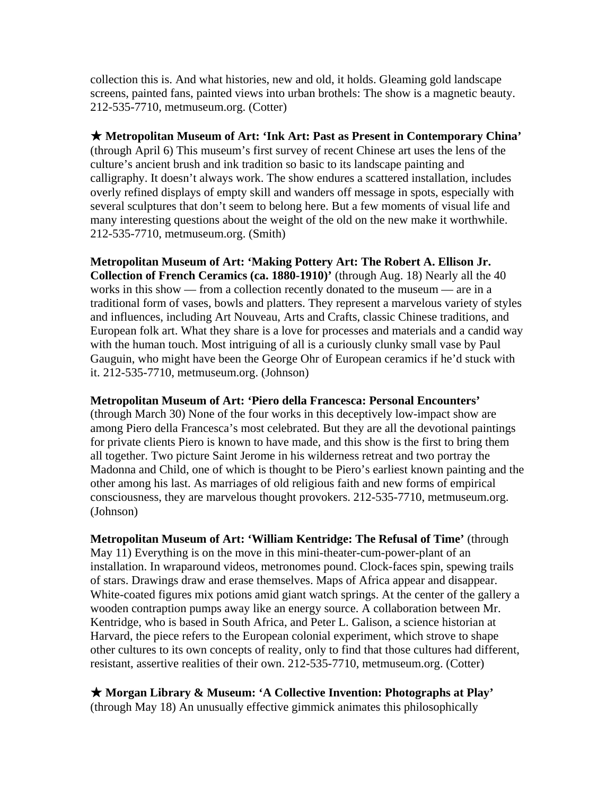collection this is. And what histories, new and old, it holds. Gleaming gold landscape screens, painted fans, painted views into urban brothels: The show is a magnetic beauty. 212-535-7710, [metmuseum.org.](https://metmuseum.org) (Cotter)

# ★ **Metropolitan Museum of Art: 'Ink Art: Past as Present in Contemporary China'**

(through April 6) This museum's first survey of recent Chinese art uses the lens of the culture's ancient brush and ink tradition so basic to its landscape painting and calligraphy. It doesn't always work. The show endures a scattered installation, includes overly refined displays of empty skill and wanders off message in spots, especially with several sculptures that don't seem to belong here. But a few moments of visual life and many interesting questions about the weight of the old on the new make it worthwhile. 212-535-7710, [metmuseum.org.](https://metmuseum.org) (Smith)

# **Metropolitan Museum of Art: 'Making Pottery Art: The Robert A. Ellison Jr.**

**Collection of French Ceramics (ca. 1880-1910)'** (through Aug. 18) Nearly all the 40 works in this show — from a collection recently donated to the museum — are in a traditional form of vases, bowls and platters. They represent a marvelous variety of styles and influences, including Art Nouveau, Arts and Crafts, classic Chinese traditions, and European folk art. What they share is a love for processes and materials and a candid way with the human touch. Most intriguing of all is a curiously clunky small vase by Paul Gauguin, who might have been the George Ohr of European ceramics if he'd stuck with it. 212-535-7710, [metmuseum.org](https://metmuseum.org). (Johnson)

#### **Metropolitan Museum of Art: 'Piero della Francesca: Personal Encounters'**

(through March 30) None of the four works in this deceptively low-impact show are among Piero della Francesca's most celebrated. But they are all the devotional paintings for private clients Piero is known to have made, and this show is the first to bring them all together. Two picture Saint Jerome in his wilderness retreat and two portray the Madonna and Child, one of which is thought to be Piero's earliest known painting and the other among his last. As marriages of old religious faith and new forms of empirical consciousness, they are marvelous thought provokers. 212-535-7710, [metmuseum.org.](https://metmuseum.org) (Johnson)

**Metropolitan Museum of Art: 'William Kentridge: The Refusal of Time'** (through May 11) Everything is on the move in this mini-theater-cum-power-plant of an installation. In wraparound videos, metronomes pound. Clock-faces spin, spewing trails of stars. Drawings draw and erase themselves. Maps of Africa appear and disappear. White-coated figures mix potions amid giant watch springs. At the center of the gallery a wooden contraption pumps away like an energy source. A collaboration between Mr. Kentridge, who is based in South Africa, and Peter L. Galison, a science historian at Harvard, the piece refers to the European colonial experiment, which strove to shape other cultures to its own concepts of reality, only to find that those cultures had different, resistant, assertive realities of their own. 212-535-7710, [metmuseum.org](https://metmuseum.org). (Cotter)

★ **Morgan Library & Museum: 'A Collective Invention: Photographs at Play'**  (through May 18) An unusually effective gimmick animates this philosophically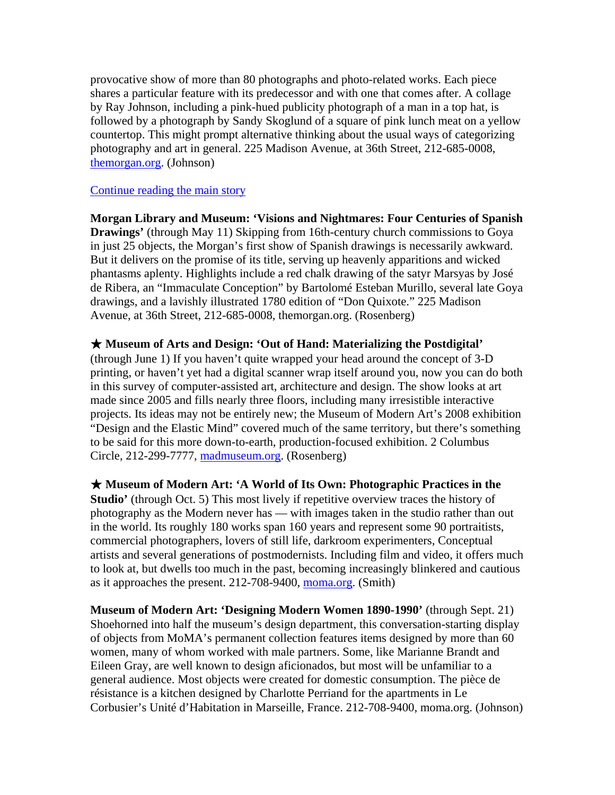provocative show of more than 80 photographs and photo-related works. Each piece shares a particular feature with its predecessor and with one that comes after. A collage by Ray Johnson, including a pink-hued publicity photograph of a man in a top hat, is followed by a photograph by Sandy Skoglund of a square of pink lunch meat on a yellow countertop. This might prompt alternative thinking about the usual ways of categorizing photography and art in general. 225 Madison Avenue, at 36th Street, 212-685-0008, [themorgan.org](http://themorgan.org/). (Johnson)

#### Continue reading the main story

**Morgan Library and Museum: 'Visions and Nightmares: Four Centuries of Spanish Drawings'** (through May 11) Skipping from 16th-century church commissions to Goya in just 25 objects, the Morgan's first show of Spanish drawings is necessarily awkward. But it delivers on the promise of its title, serving up heavenly apparitions and wicked phantasms aplenty. Highlights include a red chalk drawing of the satyr Marsyas by José de Ribera, an "Immaculate Conception" by Bartolomé Esteban Murillo, several late Goya drawings, and a lavishly illustrated 1780 edition of "Don Quixote." 225 Madison Avenue, at 36th Street, 212-685-0008, [themorgan.org.](https://themorgan.org) (Rosenberg)

# ★ **Museum of Arts and Design: 'Out of Hand: Materializing the Postdigital'**

(through June 1) If you haven't quite wrapped your head around the concept of 3-D printing, or haven't yet had a digital scanner wrap itself around you, now you can do both in this survey of computer-assisted art, architecture and design. The show looks at art made since 2005 and fills nearly three floors, including many irresistible interactive projects. Its ideas may not be entirely new; the Museum of Modern Art's 2008 exhibition "Design and the Elastic Mind" covered much of the same territory, but there's something to be said for this more down-to-earth, production-focused exhibition. 2 Columbus Circle, 212-299-7777, [madmuseum.org.](http://madmuseum.org/) (Rosenberg)

★ **Museum of Modern Art: 'A World of Its Own: Photographic Practices in the Studio'** (through Oct. 5) This most lively if repetitive overview traces the history of photography as the Modern never has — with images taken in the studio rather than out in the world. Its roughly 180 works span 160 years and represent some 90 portraitists, commercial photographers, lovers of still life, darkroom experimenters, Conceptual artists and several generations of postmodernists. Including film and video, it offers much to look at, but dwells too much in the past, becoming increasingly blinkered and cautious as it approaches the present. 212-708-9400, [moma.org.](http://moma.org/) (Smith)

**Museum of Modern Art: 'Designing Modern Women 1890-1990'** (through Sept. 21) Shoehorned into half the museum's design department, this conversation-starting display of objects from MoMA's permanent collection features items designed by more than 60 women, many of whom worked with male partners. Some, like Marianne Brandt and Eileen Gray, are well known to design aficionados, but most will be unfamiliar to a general audience. Most objects were created for domestic consumption. The pièce de résistance is a kitchen designed by Charlotte Perriand for the apartments in Le Corbusier's Unité d'Habitation in Marseille, France. 212-708-9400, [moma.org.](https://moma.org) (Johnson)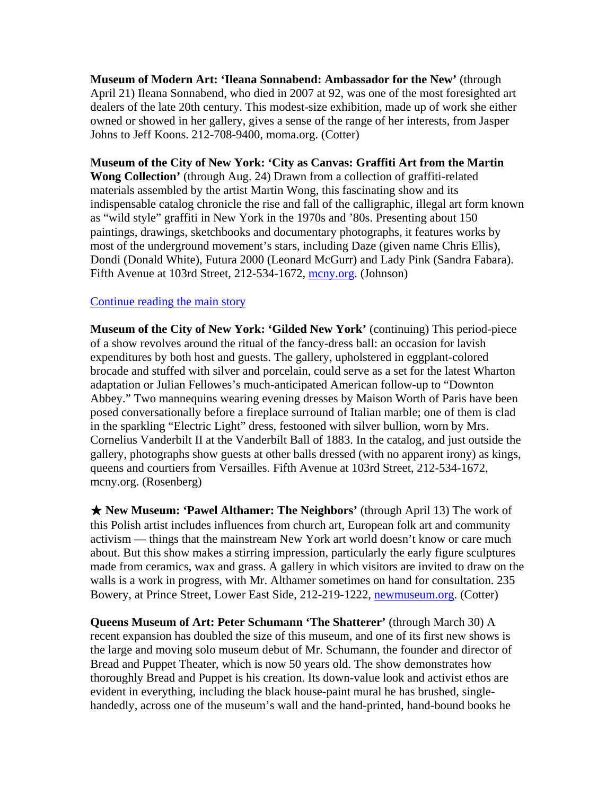**Museum of Modern Art: 'Ileana Sonnabend: Ambassador for the New'** (through April 21) Ileana Sonnabend, who died in 2007 at 92, was one of the most foresighted art dealers of the late 20th century. This modest-size exhibition, made up of work she either owned or showed in her gallery, gives a sense of the range of her interests, from Jasper Johns to Jeff Koons. 212-708-9400, [moma.org.](https://moma.org) (Cotter)

#### **Museum of the City of New York: 'City as Canvas: Graffiti Art from the Martin**

**Wong Collection'** (through Aug. 24) Drawn from a collection of graffiti-related materials assembled by the artist Martin Wong, this fascinating show and its indispensable catalog chronicle the rise and fall of the calligraphic, illegal art form known as "wild style" graffiti in New York in the 1970s and '80s. Presenting about 150 paintings, drawings, sketchbooks and documentary photographs, it features works by most of the underground movement's stars, including Daze (given name Chris Ellis), Dondi (Donald White), Futura 2000 (Leonard McGurr) and Lady Pink (Sandra Fabara). Fifth Avenue at 103rd Street, 212-534-1672, [mcny.org.](http://mcny.org/) (Johnson)

#### Continue reading the main story

**Museum of the City of New York: 'Gilded New York'** (continuing) This period-piece of a show revolves around the ritual of the fancy-dress ball: an occasion for lavish expenditures by both host and guests. The gallery, upholstered in eggplant-colored brocade and stuffed with silver and porcelain, could serve as a set for the latest Wharton adaptation or Julian Fellowes's much-anticipated American follow-up to "Downton Abbey." Two mannequins wearing evening dresses by Maison Worth of Paris have been posed conversationally before a fireplace surround of Italian marble; one of them is clad in the sparkling "Electric Light" dress, festooned with silver bullion, worn by Mrs. Cornelius Vanderbilt II at the Vanderbilt Ball of 1883. In the catalog, and just outside the gallery, photographs show guests at other balls dressed (with no apparent irony) as kings, queens and courtiers from Versailles. Fifth Avenue at 103rd Street, 212-534-1672, [mcny.org.](https://mcny.org) (Rosenberg)

★ **New Museum: 'Pawel Althamer: The Neighbors'** (through April 13) The work of this Polish artist includes influences from church art, European folk art and community activism — things that the mainstream New York art world doesn't know or care much about. But this show makes a stirring impression, particularly the early figure sculptures made from ceramics, wax and grass. A gallery in which visitors are invited to draw on the walls is a work in progress, with Mr. Althamer sometimes on hand for consultation. 235 Bowery, at Prince Street, Lower East Side, 212-219-1222, [newmuseum.org](http://newmuseum.org/). (Cotter)

**Queens Museum of Art: Peter Schumann 'The Shatterer'** (through March 30) A recent expansion has doubled the size of this museum, and one of its first new shows is the large and moving solo museum debut of Mr. Schumann, the founder and director of Bread and Puppet Theater, which is now 50 years old. The show demonstrates how thoroughly Bread and Puppet is his creation. Its down-value look and activist ethos are evident in everything, including the black house-paint mural he has brushed, singlehandedly, across one of the museum's wall and the hand-printed, hand-bound books he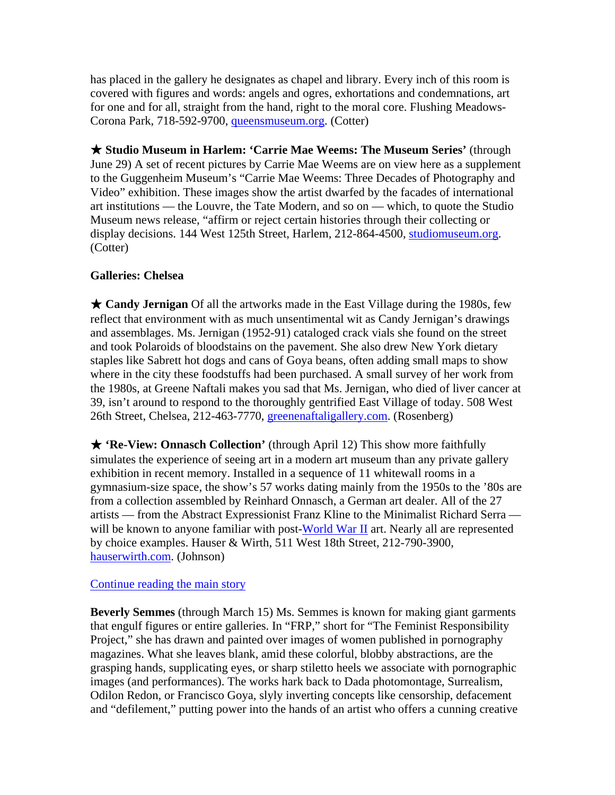has placed in the gallery he designates as chapel and library. Every inch of this room is covered with figures and words: angels and ogres, exhortations and condemnations, art for one and for all, straight from the hand, right to the moral core. Flushing Meadows-Corona Park, 718-592-9700, [queensmuseum.org](http://queensmuseum.org/). (Cotter)

★ **Studio Museum in Harlem: 'Carrie Mae Weems: The Museum Series'** (through June 29) A set of recent pictures by Carrie Mae Weems are on view here as a supplement to the Guggenheim Museum's "Carrie Mae Weems: Three Decades of Photography and Video" exhibition. These images show the artist dwarfed by the facades of international art institutions — the Louvre, the Tate Modern, and so on — which, to quote the Studio Museum news release, "affirm or reject certain histories through their collecting or display decisions. 144 West 125th Street, Harlem, 212-864-4500, [studiomuseum.org](http://studiomuseum.org/). (Cotter)

# **Galleries: Chelsea**

★ **Candy Jernigan** Of all the artworks made in the East Village during the 1980s, few reflect that environment with as much unsentimental wit as Candy Jernigan's drawings and assemblages. Ms. Jernigan (1952-91) cataloged crack vials she found on the street and took Polaroids of bloodstains on the pavement. She also drew New York dietary staples like Sabrett hot dogs and cans of Goya beans, often adding small maps to show where in the city these foodstuffs had been purchased. A small survey of her work from the 1980s, at Greene Naftali makes you sad that Ms. Jernigan, who died of liver cancer at 39, isn't around to respond to the thoroughly gentrified East Village of today. 508 West 26th Street, Chelsea, 212-463-7770, [greenenaftaligallery.com.](http://greenenaftaligallery.com/) (Rosenberg)

★ **'Re-View: Onnasch Collection'** (through April 12) This show more faithfully simulates the experience of seeing art in a modern art museum than any private gallery exhibition in recent memory. Installed in a sequence of 11 whitewall rooms in a gymnasium-size space, the show's 57 works dating mainly from the 1950s to the '80s are from a collection assembled by Reinhard Onnasch, a German art dealer. All of the 27 artists — from the Abstract Expressionist Franz Kline to the Minimalist Richard Serra — will be known to anyone familiar with post[-World War II](http://topics.nytimes.com/top/reference/timestopics/subjects/w/world_war_ii_/index.html?inline=nyt-classifier) art. Nearly all are represented by choice examples. Hauser & Wirth, 511 West 18th Street, 212-790-3900, [hauserwirth.com](http://hauserwirth.com/). (Johnson)

#### Continue reading the main story

**Beverly Semmes** (through March 15) Ms. Semmes is known for making giant garments that engulf figures or entire galleries. In "FRP," short for "The Feminist Responsibility Project," she has drawn and painted over images of women published in pornography magazines. What she leaves blank, amid these colorful, blobby abstractions, are the grasping hands, supplicating eyes, or sharp stiletto heels we associate with pornographic images (and performances). The works hark back to Dada photomontage, Surrealism, Odilon Redon, or Francisco Goya, slyly inverting concepts like censorship, defacement and "defilement," putting power into the hands of an artist who offers a cunning creative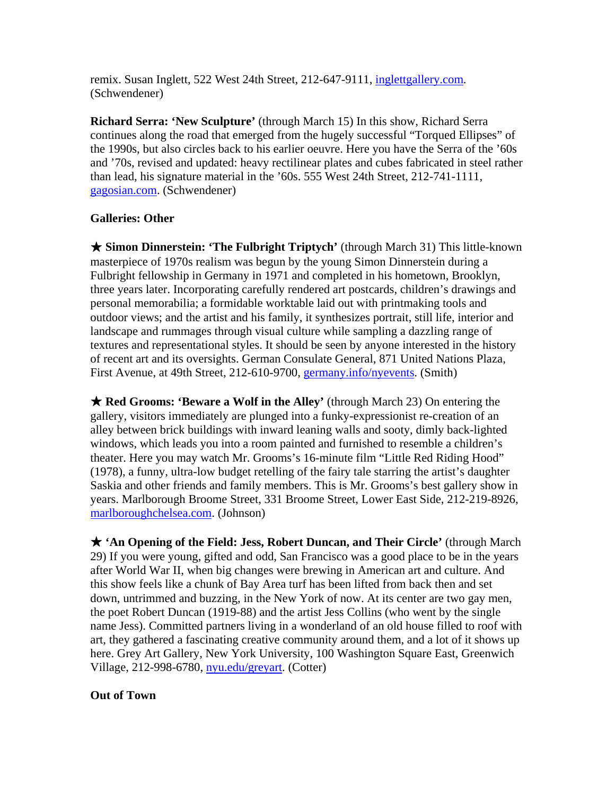remix. Susan Inglett, 522 West 24th Street, 212-647-9111, [inglettgallery.com.](http://inglettgallery.com/) (Schwendener)

**Richard Serra: 'New Sculpture'** (through March 15) In this show, Richard Serra continues along the road that emerged from the hugely successful "Torqued Ellipses" of the 1990s, but also circles back to his earlier oeuvre. Here you have the Serra of the '60s and '70s, revised and updated: heavy rectilinear plates and cubes fabricated in steel rather than lead, his signature material in the '60s. 555 West 24th Street, 212-741-1111, [gagosian.com](http://gagosian.com/). (Schwendener)

# **Galleries: Other**

★ **Simon Dinnerstein: 'The Fulbright Triptych'** (through March 31) This little-known masterpiece of 1970s realism was begun by the young Simon Dinnerstein during a Fulbright fellowship in Germany in 1971 and completed in his hometown, Brooklyn, three years later. Incorporating carefully rendered art postcards, children's drawings and personal memorabilia; a formidable worktable laid out with printmaking tools and outdoor views; and the artist and his family, it synthesizes portrait, still life, interior and landscape and rummages through visual culture while sampling a dazzling range of textures and representational styles. It should be seen by anyone interested in the history of recent art and its oversights. German Consulate General, 871 United Nations Plaza, First Avenue, at 49th Street, 212-610-9700, [germany.info/nyevents.](http://germany.info/nyevents) (Smith)

★ **Red Grooms: 'Beware a Wolf in the Alley'** (through March 23) On entering the gallery, visitors immediately are plunged into a funky-expressionist re-creation of an alley between brick buildings with inward leaning walls and sooty, dimly back-lighted windows, which leads you into a room painted and furnished to resemble a children's theater. Here you may watch Mr. Grooms's 16-minute film "Little Red Riding Hood" (1978), a funny, ultra-low budget retelling of the fairy tale starring the artist's daughter Saskia and other friends and family members. This is Mr. Grooms's best gallery show in years. Marlborough Broome Street, 331 Broome Street, Lower East Side, 212-219-8926, [marlboroughchelsea.com.](http://marlboroughchelsea.com/) (Johnson)

★ **'An Opening of the Field: Jess, Robert Duncan, and Their Circle'** (through March 29) If you were young, gifted and odd, San Francisco was a good place to be in the years after World War II, when big changes were brewing in American art and culture. And this show feels like a chunk of Bay Area turf has been lifted from back then and set down, untrimmed and buzzing, in the New York of now. At its center are two gay men, the poet Robert Duncan (1919-88) and the artist Jess Collins (who went by the single name Jess). Committed partners living in a wonderland of an old house filled to roof with art, they gathered a fascinating creative community around them, and a lot of it shows up here. Grey Art Gallery, New York University, 100 Washington Square East, Greenwich Village, 212-998-6780, [nyu.edu/greyart.](http://nyu.edu/greyart) (Cotter)

#### **Out of Town**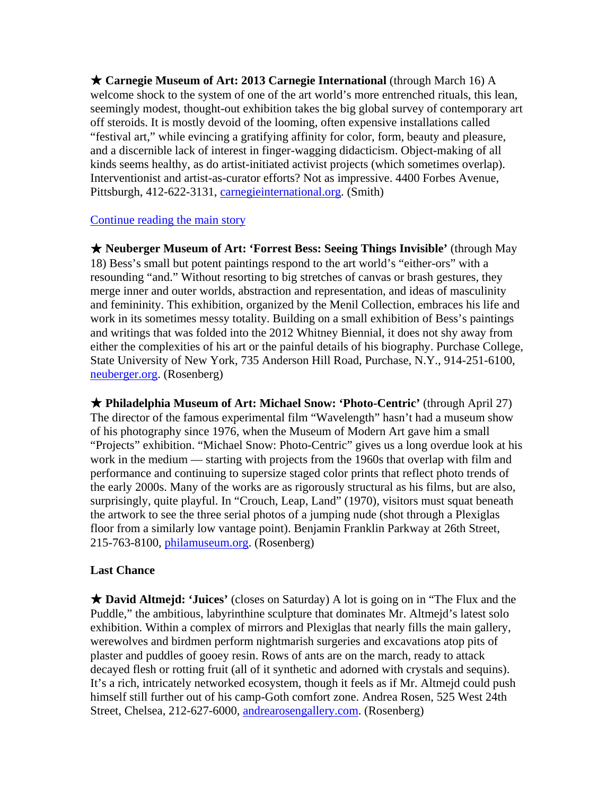★ **Carnegie Museum of Art: 2013 Carnegie International** (through March 16) A welcome shock to the system of one of the art world's more entrenched rituals, this lean, seemingly modest, thought-out exhibition takes the big global survey of contemporary art off steroids. It is mostly devoid of the looming, often expensive installations called "festival art," while evincing a gratifying affinity for color, form, beauty and pleasure, and a discernible lack of interest in finger-wagging didacticism. Object-making of all kinds seems healthy, as do artist-initiated activist projects (which sometimes overlap). Interventionist and artist-as-curator efforts? Not as impressive. 4400 Forbes Avenue, Pittsburgh, 412-622-3131, [carnegieinternational.org.](http://carnegieinternational.org/) (Smith)

#### Continue reading the main story

★ **Neuberger Museum of Art: 'Forrest Bess: Seeing Things Invisible'** (through May 18) Bess's small but potent paintings respond to the art world's "either-ors" with a resounding "and." Without resorting to big stretches of canvas or brash gestures, they merge inner and outer worlds, abstraction and representation, and ideas of masculinity and femininity. This exhibition, organized by the Menil Collection, embraces his life and work in its sometimes messy totality. Building on a small exhibition of Bess's paintings and writings that was folded into the 2012 Whitney Biennial, it does not shy away from either the complexities of his art or the painful details of his biography. Purchase College, State University of New York, 735 Anderson Hill Road, Purchase, N.Y., 914-251-6100, [neuberger.org.](http://neuberger.org/) (Rosenberg)

★ **Philadelphia Museum of Art: Michael Snow: 'Photo-Centric'** (through April 27) The director of the famous experimental film "Wavelength" hasn't had a museum show of his photography since 1976, when the Museum of Modern Art gave him a small "Projects" exhibition. "Michael Snow: Photo-Centric" gives us a long overdue look at his work in the medium — starting with projects from the 1960s that overlap with film and performance and continuing to supersize staged color prints that reflect photo trends of the early 2000s. Many of the works are as rigorously structural as his films, but are also, surprisingly, quite playful. In "Crouch, Leap, Land" (1970), visitors must squat beneath the artwork to see the three serial photos of a jumping nude (shot through a Plexiglas floor from a similarly low vantage point). Benjamin Franklin Parkway at 26th Street, 215-763-8100, [philamuseum.org.](http://philamuseum.org/) (Rosenberg)

#### **Last Chance**

★ **David Altmejd: 'Juices'** (closes on Saturday) A lot is going on in "The Flux and the Puddle," the ambitious, labyrinthine sculpture that dominates Mr. Altmejd's latest solo exhibition. Within a complex of mirrors and Plexiglas that nearly fills the main gallery, werewolves and birdmen perform nightmarish surgeries and excavations atop pits of plaster and puddles of gooey resin. Rows of ants are on the march, ready to attack decayed flesh or rotting fruit (all of it synthetic and adorned with crystals and sequins). It's a rich, intricately networked ecosystem, though it feels as if Mr. Altmejd could push himself still further out of his camp-Goth comfort zone. Andrea Rosen, 525 West 24th Street, Chelsea, 212-627-6000, [andrearosengallery.com.](http://andrearosengallery.com/) (Rosenberg)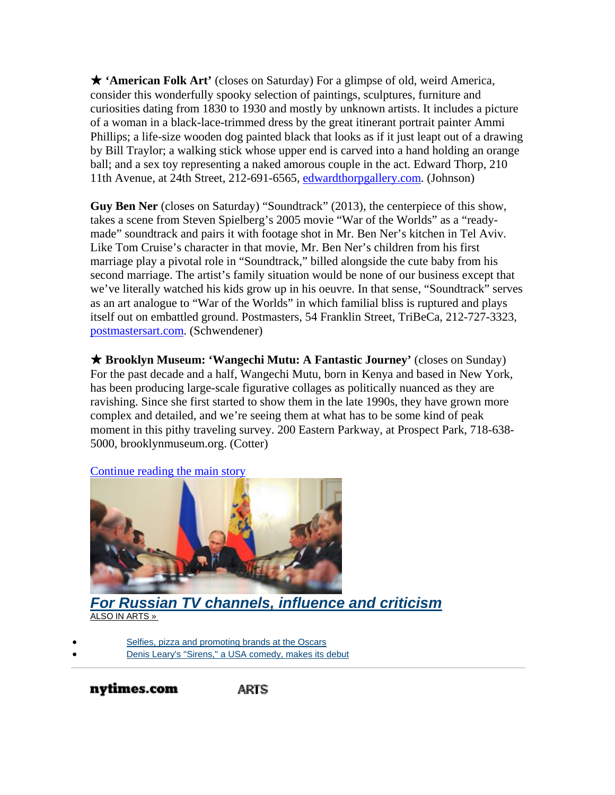★ **'American Folk Art'** (closes on Saturday) For a glimpse of old, weird America, consider this wonderfully spooky selection of paintings, sculptures, furniture and curiosities dating from 1830 to 1930 and mostly by unknown artists. It includes a picture of a woman in a black-lace-trimmed dress by the great itinerant portrait painter Ammi Phillips; a life-size wooden dog painted black that looks as if it just leapt out of a drawing by Bill Traylor; a walking stick whose upper end is carved into a hand holding an orange ball; and a sex toy representing a naked amorous couple in the act. Edward Thorp, 210 11th Avenue, at 24th Street, 212-691-6565, [edwardthorpgallery.com](http://edwardthorpgallery.com/). (Johnson)

**Guy Ben Ner** (closes on Saturday) "Soundtrack" (2013), the centerpiece of this show, takes a scene from Steven Spielberg's 2005 movie "War of the Worlds" as a "readymade" soundtrack and pairs it with footage shot in Mr. Ben Ner's kitchen in Tel Aviv. Like Tom Cruise's character in that movie, Mr. Ben Ner's children from his first marriage play a pivotal role in "Soundtrack," billed alongside the cute baby from his second marriage. The artist's family situation would be none of our business except that we've literally watched his kids grow up in his oeuvre. In that sense, "Soundtrack" serves as an art analogue to "War of the Worlds" in which familial bliss is ruptured and plays itself out on embattled ground. Postmasters, 54 Franklin Street, TriBeCa, 212-727-3323, [postmastersart.com.](http://postmastersart.com/) (Schwendener)

★ **Brooklyn Museum: 'Wangechi Mutu: A Fantastic Journey'** (closes on Sunday) For the past decade and a half, Wangechi Mutu, born in Kenya and based in New York, has been producing large-scale figurative collages as politically nuanced as they are ravishing. Since she first started to show them in the late 1990s, they have grown more complex and detailed, and we're seeing them at what has to be some kind of peak moment in this pithy traveling survey. 200 Eastern Parkway, at Prospect Park, 718-638- 5000, [brooklynmuseum.org.](https://brooklynmuseum.org) (Cotter)

[Continue reading the main story](http://www.nytimes.com/2014/03/07/arts/design/museum-and-gallery-listings-for-march-7-13.html?emc=edit_tnt_20140306&nlid=63670783&tntemail0=y&_r=0#story-continues-9)



*[For Russian TV channels, influence and criticism](http://www.nytimes.com/adx/bin/adx_click.html?type=goto&opzn&page=www.nytimes.com/yr/mo/day/arts/design&pos=Box1&sn2=b1cd94f8/32ba02ce&sn1=1ca3397a/495adebb&camp=nyt2014_300x250_module_RussianTV_hp_ros&ad=AR-D-I-NYT-MOD-MOD-M347c-ROS-0314&goto=http://www.nytimes.com/2014/03/06/world/europe/for-russian-tv-channels-influence-and-criticism.html%3FWT.mc_id=AR-D-I-NYT-MOD-MOD-M347c-ROS-0314-HDR%26WT.mc_ev=click%26WT.mc_c=240720)*  [ALSO IN ARTS »](http://www.nytimes.com/adx/bin/adx_click.html?type=goto&opzn&page=www.nytimes.com/yr/mo/day/arts/design&pos=Box1&sn2=b1cd94f8/32ba02ce&sn1=1ca3397a/495adebb&camp=nyt2014_300x250_module_RussianTV_hp_ros&ad=AR-D-I-NYT-MOD-MOD-M347c-ROS-0314&goto=http://www.nytimes.com/pages/arts/index.html%3FWT.mc_id=AR-D-I-NYT-MOD-MOD-M347c-ROS-0314-URL%26WT.mc_ev=click%26WT.mc_c=240720) 

- Selfies, pizza and promoting brands at the Oscars
- **Denis Leary's "Sirens," a USA comedy, makes its debut**

**nytimes.com ARTS**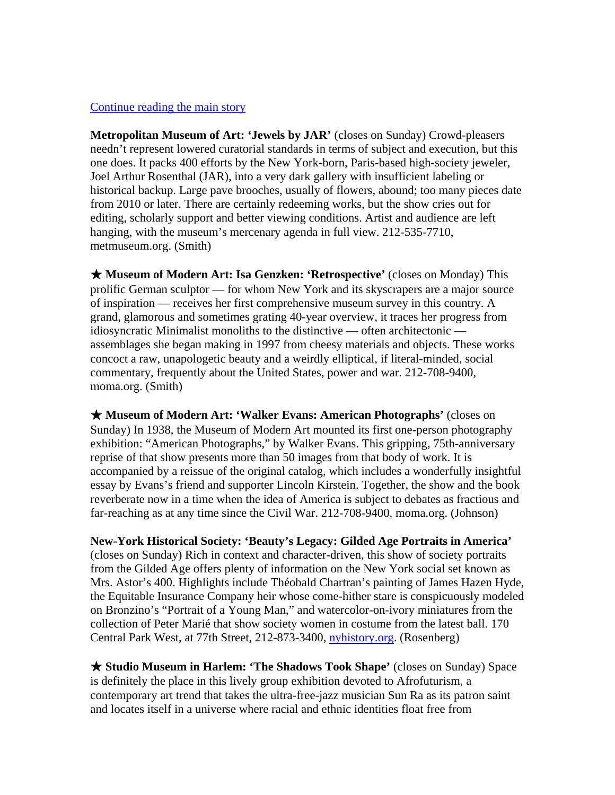#### [Continue reading the main story](http://www.nytimes.com/2014/03/07/arts/design/museum-and-gallery-listings-for-march-7-13.html?emc=edit_tnt_20140306&nlid=63670783&tntemail0=y&_r=0#story-continues-9)

**Metropolitan Museum of Art: 'Jewels by JAR'** (closes on Sunday) Crowd-pleasers needn't represent lowered curatorial standards in terms of subject and execution, but this one does. It packs 400 efforts by the New York-born, Paris-based high-society jeweler, Joel Arthur Rosenthal (JAR), into a very dark gallery with insufficient labeling or historical backup. Large pave brooches, usually of flowers, abound; too many pieces date from 2010 or later. There are certainly redeeming works, but the show cries out for editing, scholarly support and better viewing conditions. Artist and audience are left hanging, with the museum's mercenary agenda in full view. 212-535-7710, [metmuseum.org.](https://metmuseum.org) (Smith)

★ **Museum of Modern Art: Isa Genzken: 'Retrospective'** (closes on Monday) This prolific German sculptor — for whom New York and its skyscrapers are a major source of inspiration — receives her first comprehensive museum survey in this country. A grand, glamorous and sometimes grating 40-year overview, it traces her progress from idiosyncratic Minimalist monoliths to the distinctive — often architectonic assemblages she began making in 1997 from cheesy materials and objects. These works concoct a raw, unapologetic beauty and a weirdly elliptical, if literal-minded, social commentary, frequently about the United States, power and war. 212-708-9400, [moma.org](https://moma.org). (Smith)

★ **Museum of Modern Art: 'Walker Evans: American Photographs'** (closes on Sunday) In 1938, the Museum of Modern Art mounted its first one-person photography exhibition: "American Photographs," by Walker Evans. This gripping, 75th-anniversary reprise of that show presents more than 50 images from that body of work. It is accompanied by a reissue of the original catalog, which includes a wonderfully insightful essay by Evans's friend and supporter Lincoln Kirstein. Together, the show and the book reverberate now in a time when the idea of America is subject to debates as fractious and far-reaching as at any time since the Civil War. 212-708-9400, [moma.org.](https://moma.org) (Johnson)

**New-York Historical Society: 'Beauty's Legacy: Gilded Age Portraits in America'**  (closes on Sunday) Rich in context and character-driven, this show of society portraits from the Gilded Age offers plenty of information on the New York social set known as Mrs. Astor's 400. Highlights include Théobald Chartran's painting of James Hazen Hyde, the Equitable Insurance Company heir whose come-hither stare is conspicuously modeled on Bronzino's "Portrait of a Young Man," and watercolor-on-ivory miniatures from the collection of Peter Marié that show society women in costume from the latest ball. 170 Central Park West, at 77th Street, 212-873-3400, [nyhistory.org](http://nyhistory.org/). (Rosenberg)

★ **Studio Museum in Harlem: 'The Shadows Took Shape'** (closes on Sunday) Space is definitely the place in this lively group exhibition devoted to Afrofuturism, a contemporary art trend that takes the ultra-free-jazz musician Sun Ra as its patron saint and locates itself in a universe where racial and ethnic identities float free from